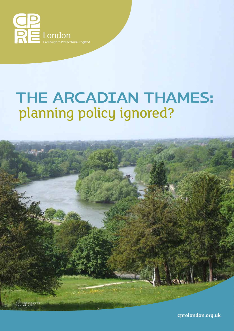

# The Arcadian Thames: planning policy ignored?



**cprelondon.org.uk**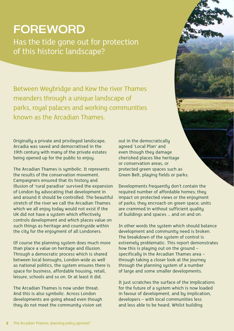## **FOREWORD**

Has the tide gone out for protection of this historic landscape?

Between Weybridge and Kew the river Thames meanders through a unique landscape of parks, royal palaces and working communities known as the Arcadian Thames.

Originally a private and privileged landscape, Arcadia was saved and democratised in the 19th century with many of the private estates being opened up for the public to enjoy.

The Arcadian Thames is symbolic. It represents the results of the conservation movement. Campaigners ensured that its history and illusion of 'rural paradise' survived the expansion of London by advocating that development in and around it should be controlled. The beautiful stretch of the river we call the Arcadian Thames which we all enjoy today would not exist if the UK did not have a system which effectively controls development and which places value on such things as heritage and countryside within the city for the enjoyment of all Londoners.

Of course the planning system does much more than place a value on heritage and illusion. Through a democratic process which is shared between local boroughs, London-wide as well as national politics, the system ensures there is space for business, affordable housing, retail, leisure, schools and so on. Or at least it did.

The Arcadian Thames is now under threat. And this is also symbolic. Across London developments are going ahead even though they do not meet the community vision set

out in the democratically agreed 'Local Plan' and even though they damage cherished places like heritage or conservation areas, or protected green spaces such as Green Belt, playing fields or parks.

Developments frequently don't contain the required number of affordable homes; they impact on protected views or the enjoyment of parks; they encroach on green space; units are crammed in without sufficient quality of buildings and spaces … and on and on.

In other words the system which should balance development and community need is broken. The breakdown of the system of control is extremely problematic. This report demonstrates how this is playing out on the ground – specifically in the Arcadian Thames area – through taking a closer look at the journey through the planning system of a number of large and some smaller developments.

It just scratches the surface of the implications for the future of a system which is now loaded in favour of development, and by implication, developers – with local communities less and less able to be heard. Whilst building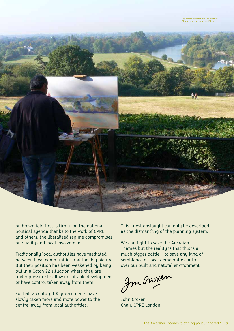

on brownfield first is firmly on the national political agenda thanks to the work of CPRE and others, the liberalised regime compromises on quality and local involvement.

Traditionally local authorities have mediated between local communities and the 'big picture'. But their position has been weakened by being put in a Catch 22 situation where they are under pressure to allow unsuitable development or have control taken away from them.

For half a century UK governments have slowly taken more and more power to the centre, away from local authorities.

This latest onslaught can only be described as the dismantling of the planning system.

We can fight to save the Arcadian Thames but the reality is that this is a much bigger battle – to save any kind of semblance of local democratic control over our built and natural environment.

Im Groxen

John Croxen Chair, CPRE London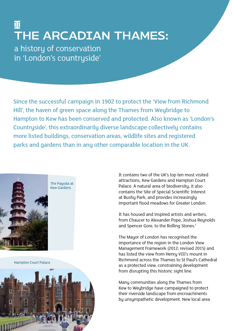### I The Arcadian Thames: a history of conservation in 'London's countryside'

Since the successful campaign in 1902 to protect the 'View from Richmond Hill', the haven of green space along the Thames from Weybridge to Hampton to Kew has been conserved and protected. Also known as 'London's Countryside', this extraordinarily diverse landscape collectively contains more listed buildings, conservation areas, wildlife sites and registered parks and gardens than in any other comparable location in the UK.



Hampton Court Palace

It contains two of the UK's top ten most visited attractions, Kew Gardens and Hampton Court Palace. A natural area of biodiversity, it also contains the Site of Special Scientific Interest at Bushy Park, and provides increasingly important flood meadows for Greater London.

It has housed and inspired artists and writers, from Chaucer to Alexander Pope, Joshua Reynolds and Spencer Gore, to the Rolling Stones.<sup>1</sup>

The Mayor of London has recognised the importance of the region in the London View Management Framework (2012; revised 2015) and has listed the view from Henry VIII's mount in Richmond across the Thames to St Paul's Cathedral as a protected view, constraining development from disrupting this historic sight line.

Many communities along the Thames from Kew to Weybridge have campaigned to protect their riverside landscape from encroachments by unsympathetic development. New local area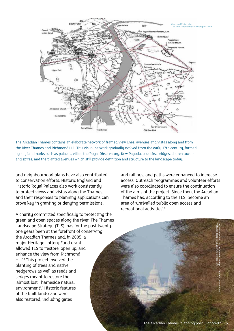

The Arcadian Thames contains an elaborate network of framed view lines, avenues and vistas along and from the River Thames and Richmond Hill. This visual network gradually evolved from the early 17th century, formed by key landmarks such as palaces, villas, the Royal Observatory, Kew Pagoda, obelisks, bridges, church towers and spires, and the planted avenues which still provide definition and structure to the landscape today.

and neighbourhood plans have also contributed to conservation efforts. Historic England and Historic Royal Palaces also work consistently to protect views and vistas along the Thames, and their responses to planning applications can prove key in granting or denying permissions.

A charity committed specifically to protecting the green and open spaces along the river, The Thames Landscape Strategy (TLS), has for the past twentyone years been at the forefront of conserving the Arcadian Thames and, in 2005, a major Heritage Lottery Fund grant allowed TLS to 'restore, open up, and enhance the view from Richmond Hill'.<sup>2</sup> This project involved the planting of trees and native hedgerows as well as reeds and sedges meant to restore the 'almost lost Thameside natural environment'.3 Historic features of the built landscape were also restored, including gates

and railings, and paths were enhanced to increase access. Outreach programmes and volunteer efforts were also coordinated to ensure the continuation of the aims of the project. Since then, the Arcadian Thames has, according to the TLS, become an area of 'unrivalled public open access and recreational activities'.4



Photo: landscapeiskingston.wordpress.com

The view of St Paul's Cathedral from Henry VIII's mound in Richmond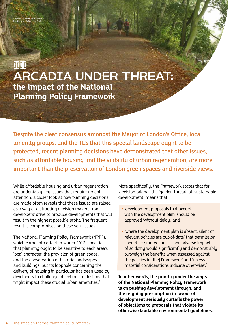**III** Arcadia under threat: **the impact of the National Planning Policy Framework**

Despite the clear consensus amongst the Mayor of London's Office, local amenity groups, and the TLS that this special landscape ought to be protected, recent planning decisions have demonstrated that other issues, such as affordable housing and the viability of urban regeneration, are more important than the preservation of London green spaces and riverside views.

While affordable housing and urban regeneration are undeniably key issues that require urgent attention, a closer look at how planning decisions are made often reveals that these issues are raised as a way of distracting decision makers from developers' drive to produce developments that will result in the highest possible profit. The frequent result is compromises on these very issues.

The National Planning Policy Framework (NPPF), which came into effect in March 2012, specifies that planning ought to be sensitive to each area's local character, the provision of green space, and the conservation of historic landscapes and buildings, but its loophole concerning the delivery of housing in particular has been used by developers to challenge objections to designs that might impact these crucial urban amenities.<sup>5</sup>

More specifically, the Framework states that for 'decision taking', the 'golden thread' of 'sustainable development' means that:

- **•** 'development proposals that accord with the development plan' should be approved 'without delay;' and
- **•** 'where the development plan is absent, silent or relevant policies are out-of-date' that permission should be granted 'unless any adverse impacts of so doing would significantly and demonstrably outweigh the benefits when assessed against the policies in [the] Framework' and 'unless material considerations indicate otherwise'.6

**In other words, the priority under the aegis of the National Planning Policy Framework is on pushing development through, and the reigning presumption in favour of development seriously curtails the power of objections to proposals that violate its otherwise laudable environmental guidelines.**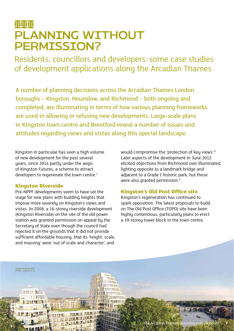### 0000 PLANNING WITHOUT permission?

Residents, councillors and developers: some case studies of development applications along the Arcadian Thames

A number of planning decisions across the Arcadian Thames London boroughs – Kingston, Hounslow, and Richmond – both ongoing and completed, are illuminating in terms of how various planning frameworks are used in allowing or refusing new developments. Large-scale plans in Kingston town centre and Brentford reveal a number of issues and attitudes regarding views and vistas along this special landscape.

Kingston in particular has seen a high volume of new development for the past several years; since 2014 partly under the aegis of Kingston Futures, a scheme to attract developers to regenerate the town centre.<sup>7</sup>

#### **Kingston Riverside**

Kingston Riverside ,<br>to: redrow.co.uk

打到英语共同

Pre-NPPF developments seem to have set the stage for new plans with building heights that impose more severely on Kingston's views and vistas. In 2008, a 16-storey riverside development (Kingston Riverside) on the site of the old power station was granted permission on appeal by the Secretary of State even though the council had rejected it on the grounds that it did not provide sufficient affordable housing, that its 'height, scale, and massing' were 'out of scale and character', and

would compromise the 'protection of key views'.<sup>8</sup> Later aspects of the development in June 2012 elicited objections from Richmond over illuminated lighting opposite to a landmark bridge and adjacent to a Grade I historic park, but these were also granted permission.<sup>9</sup>

#### **Kingston's Old Post Office site**

Kingston's regeneration has continued to spark opposition. The latest proposals to build on The Old Post Office (TOPO) site have been highly contentious, particularly plans to erect a 19-storey tower block in the town centre.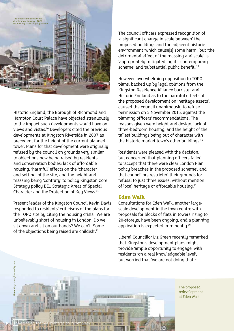

Historic England, the Borough of Richmond and Hampton Court Palace have objected strenuously to the impact such developments would have on views and vistas.10 Developers cited the previous developments at Kingston Riverside in 2007 as precedent for the height of the current planned tower. Plans for that development were originally refused by the council on grounds very similar to objections now being raised by residents and conservation bodies: lack of affordable housing, 'harmful' effects on the 'character and setting' of the site, and the height and massing being 'contrary' to policy Kingston Core Strategy policy BE1 Strategic Areas of Special Character and the Protection of Key Views.<sup>11</sup>

Present leader of the Kingston Council Kevin Davis responded to residents' criticisms of the plans for the TOPO site by citing the housing crisis: 'We are unbelievably short of housing in London. Do we sit down and sit on our hands? We can't. Some of the objections being raised are childish'.12

The council officers expressed recognition of 'a significant change in scale between' the proposed buildings and the adjacent historic environment 'which cause[s] some harm', but 'the detrimental effect of the massing and scale' is 'appropriately mitigated' by its 'contemporary scheme' and 'substantial public benefit'.<sup>13</sup>

However, overwhelming opposition to TOPO plans, backed up by legal opinions from the Kingston Residence Alliance barrister and Historic England as to the harmful effects of the proposed development on 'heritage assets', caused the council unanimously to refuse permission on 5 November 2015, against the planning officers' recommendations. The reasons given were height and design, lack of three-bedroom housing, and the height of the tallest buildings being out of character with the historic market town's other buildings.<sup>14</sup>

Residents were pleased with the decision, but concerned that planning officers failed to 'accept that there were clear London Plan policy breaches in the proposed scheme', and that councillors restricted their grounds for refusal to just three issues, without mention of local heritage or affordable housing.15

#### **Eden Walk**

Consultations for Eden Walk, another largescale development in the town centre with proposals for blocks of flats in towers rising to 20-storeys, have been ongoing, and a planning application is expected imminently.<sup>16</sup>

Liberal Councillor Liz Green recently remarked that Kingston's development plans might provide 'ample opportunity to engage' with residents 'on a real knowledgeable level', but worried that 'we are not doing that'.<sup>17</sup>



The proposed redevelopment at Eden Walk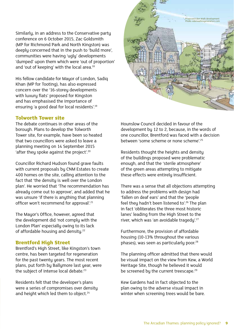Similarly, in an address to the Conservative party conference on 6 October 2015, Zac Goldsmith (MP for Richmond Park and North Kingston) was deeply concerned that in the push to 'build more', communities were having 'ugly' developments 'dumped' upon them which were 'out of proportion' and 'out of keeping' with the local area.<sup>18</sup>

His fellow candidate for Mayor of London, Sadiq Khan (MP for Tooting), has also expressed concern over the '16-storey developments with luxury flats' proposed for Kingston and has emphasised the importance of ensuring 'a good deal for local residents'.19

#### **Tolworth Tower site**

The debate continues in other areas of the borough. Plans to develop the Tolworth Tower site, for example, have been so heated that two councillors were asked to leave a planning meeting on 14 September 2015 'after they spoke against the project'.20

Councillor Richard Hudson found grave faults with current proposals by CNM Estates to create 400 homes on the site, calling attention to the fact that 'the density is well over the London plan'. He worried that 'The recommendation has already come out to approve', and added that he was unsure 'if there is anything that planning officer won't recommend for approval'.<sup>21</sup>

The Mayor's Office, however, agreed that the development did 'not comply with the London Plan' especially owing to its lack of affordable housing and density.<sup>22</sup>

#### **Brentford High Street**

Brentford's High Street, like Kingston's town centre, has been targeted for regeneration for the past twenty years. The most recent plans, put forth by Ballymore last year, were the subject of intense local debate.<sup>23</sup>

Residents felt that the developer's plans were a series of compromises over density and height which led them to object.<sup>24</sup>



Proposed Eden Walk developmen oto: edenwalkregeneration.com

Residents thought the heights and density of the buildings proposed were problematic enough, and that the 'sterile atmosphere' of the green areas attempting to mitigate these effects were entirely insufficient.

There was a sense that all objections attempting to address the problems with design had 'fallen on deaf ears' and that the 'people feel they hadn't been listened to'.<sup>26</sup> The plan in fact 'obliterates the three most historic lanes' leading from the High Street to the river, which was 'an avoidable tragedy'.<sup>27</sup>

Furthermore, the provision of affordable housing (10-13% throughout the various phases), was seen as particularly poor.<sup>28</sup>

The planning officer admitted that there would be visual impact on the view from Kew, a World Heritage Site, though he believed it would be screened by the current treescape.<sup>29</sup>

Kew Gardens had in fact objected to the plan owing to the adverse visual impact in winter when screening trees would be bare.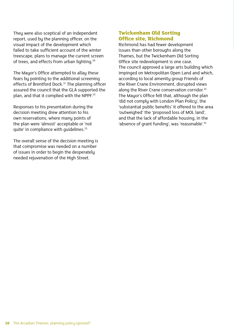They were also sceptical of an independent report, used by the planning officer, on the visual impact of the development which failed to take sufficient account of the winter treescape, plans to manage the current screen of trees, and effects from urban lighting.<sup>30</sup>

The Mayor's Office attempted to allay these fears by pointing to the additional screening effects of Brentford Dock.<sup>31</sup> The planning officer assured the council that the GLA supported the plan, and that it complied with the NPPF.<sup>32</sup>

Responses to his presentation during the decision meeting drew attention to his own reservations, where many points of the plan were 'almost' acceptable or 'not quite' in compliance with quidelines.<sup>33</sup>

The overall sense of the decision meeting is that compromise was needed on a number of issues in order to begin the desperately needed rejuvenation of the High Street.

#### **Twickenham Old Sorting Office site, Richmond**

Richmond has had fewer development issues than other boroughs along the Thames, but the Twickenham Old Sorting Office site redevelopment is one case. The council approved a large arts building which impinged on Metropolitan Open Land and which, according to local amenity group Friends of the River Crane Environment, disrupted views along the River Crane conservation corridor.<sup>34</sup> The Mayor's Office felt that, although the plan 'did not comply with London Plan Policy', the 'substantial public benefits' it offered to the area 'outweighed' the 'proposed loss of MOL land', and that the lack of affordable housing, in the 'absence of grant funding', was 'reasonable'.<sup>35</sup>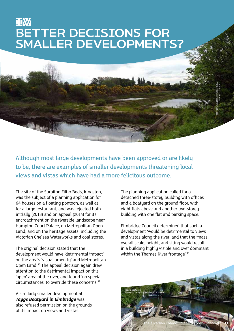### **IIW** BETTER DECISIONS FOR Smaller Developments?



Although most large developments have been approved or are likely to be, there are examples of smaller developments threatening local views and vistas which have had a more felicitous outcome.

The site of the Surbiton Filter Beds, Kingston, was the subject of a planning application for 64 houses on a floating pontoon, as well as for a large restaurant, and was rejected both initially (2013) and on appeal (2014) for its encroachment on the riverside landscape near Hampton Court Palace, on Metropolitan Open Land, and on the heritage assets, including the Victorian Chelsea Waterworks and coal stores.

The original decision stated that the development would have 'detrimental impact' on the area's 'visual amenity' and Metropolitan Open Land.36 The appeal decision again drew attention to the detrimental impact on this 'open' area of the river, and found 'no special circumstances' to override these concerns<sup>37</sup>

A similarly smaller development at *Taggs Boatyard in Elmbridge* was also refused permission on the grounds of its impact on views and vistas.

The planning application called for a detached three-storey building with offices and a boatyard on the ground floor, with eight flats above and another two-storey building with one flat and parking space.

Elmbridge Council determined that such a development 'would be detrimental to views and vistas along the river' and that the 'mass, overall scale, height, and siting would result in a building highly visible and over dominant within the Thames River frontage'.<sup>38</sup>

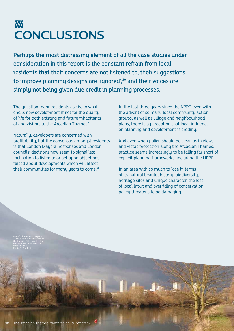### **W CONCLUSIONS**

Perhaps the most distressing element of all the case studies under consideration in this report is the constant refrain from local residents that their concerns are not listened to, their suggestions to improve planning designs are 'ignored',<sup>39</sup> and their voices are simply not being given due credit in planning processes.

The question many residents ask is, to what end is new development if not for the quality of life for both existing and future inhabitants of and visitors to the Arcadian Thames?

Naturally, developers are concerned with profitability, but the consensus amongst residents is that London Mauoral responses and London councils' decisions now seem to signal less inclination to listen to or act upon objections raised about developments which will affect their communities for many years to come.<sup>40</sup>

In the last three years since the NPPF, even with the advent of so many local community action groups, as well as village and neighbourhood plans, there is a perception that local influence on planning and development is eroding.

And even when policy should be clear, as in views and vistas protection along the Arcadian Thames, practice seems increasingly to be falling far short of explicit planning frameworks, including the NPPF.

In an area with so much to lose in terms of its natural beauty, history, biodiversity, heritage sites and unique character, the loss of local input and overriding of conservation policy threatens to be damaging.

the impact of this much older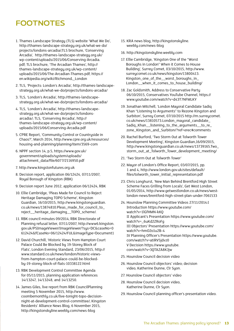### **FOOTNOTES**

- 1. Thames Landscape Strategy (TLS) website 'What We Do', http://thames-landscape-strategy.org.uk/what-we-do/ projects/londons-arcadia/;TLS brochure, 'Conserving Arcadia', http://thames-landscape-strategy.org.uk/ wp-content/uploads/2015/06/Conserving-Arcadia. pdf; TLS brochure, 'The Arcadian Thames', http:// thames-landscape-strategy.org.uk/wp-content/ uploads/2015/06/The-Arcadian-Thames.pdf; https:// en.wikipedia.org/wiki/Richmond,\_London
- 2. TLS, 'Projects: London's Arcadia', http://thames-landscapestrategy.org.uk/what-we-do/projects/londons-arcadia/
- 3. TLS, 'London's Arcadia', http://thames-landscapestrategy.org.uk/what-we-do/projects/londons-arcadia/
- 4. TLS, 'London's Arcadia', http://thames-landscapestrategy.org.uk/what-we-do/projects/londonsarcadia/; TLS, 'Conserving Arcadia', http:// thames-landscape-strategy.org.uk/wp-content/ uploads/2015/06/Conserving-Arcadia.pdf
- 5. CPRE Report, 'Community Control or Countryside in Chaos?', March 2014, http://www.cpre.org.uk/resources/ housing-and-planning/planning/item/3569-com
- 6. NPPF section 14, p.5, https://www.gov.uk/ government/uploads/system/uploads/ attachment\_data/file/6077/2116950.pdf
- 7. http://www.kingstonfutures.org.uk
- 8. Decision report, application 06/12424, 07/11/2007, Royal Borough of Kingston (RBK)
- 9. Decision report June 2012, application 06/12424, RBK
- 10. Ellie Cambridge, 'Pleas Made for Council to Reject Heritage Damaging TOPO Scheme', Kingston Guardian, 16/10/2015, http://www.kingstonguardian. co.uk/news/13874810.Pleas\_made\_for\_council\_to\_ reject\_\_heritage\_damaging\_\_TOPO\_scheme/.
- 11. RBK council minutes 09/2014; RBK Directorate of Planning refusal letter, 07/11/2007, http://www6.kingston. gov.uk/PSImageViewer/ImageViewer/?sys=DC&caseNo=0 612424&fCaseNo=06/12424/FUL&imageType=Document1
- 12. David Churchill, 'Historic Views from Hampton Court Palace Could Be Blocked by 19-Storey Block of Flats', London Evening Standard, 23/06/2015, http:// www.standard.co.uk/news/london/historic-viewsfrom-hampton-court-palace-could-be-blockedby-19-storey-block-of-flats-10338122.html
- 13. RBK Development Control Committee Agenda for 05/11/2015, planning application references 14/13247, 14/13248, and 14/13250.
- 14. James Giles, live report from RBK CouncilPlanning meeting 5 November 2015, http://www. coombemonthly.co.uk/live-tonight-topo-decisionnight-at-development-control-committee/; Kingston Residents' Alliance News Blog, 6 November 2015, http://kingstonskyline.weebly.com/news-blog
- 15. KRA news blog, http://kingstonskyline. weebly.com/news-blog
- 16. http://kingstonskyline.weebly.com
- 17. Ellie Cambridge, 'Kingston One of the "Worst Boroughs in London" When it Comes to House Building', Surrey Comet, 03/10/2015, http://www. surreycomet.co.uk/news/kingston/13800413. Kingston\_one\_of\_the\_\_worst\_boroughs\_in\_ London\_\_when\_it\_comes\_to\_house\_building/
- 18. Zac Goldsmith, Address to Conservative Party 06/10/2015, Conservatives YouTube Channel, https:// www.youtube.com/watch?v=d43T7NFMLKY
- 19. Jonathan Mitchell, 'London Mayoral Candidate Sadiq Khan "Listening to Arguments" to Rezone Kingston and Surbiton', Surrey Comet, 07/10/2015 http://m.surreycomet. co.uk/news/13810573.London\_mayoral\_candidate\_ Sadiq\_Khan\_\_listening\_to\_the\_arguments\_\_to\_re\_ zone\_Kingston\_and\_Surbiton/?ref=erec#comments
- 20. Rachel Burford, 'Two Storm Out at Tolworth Tower Development Meeting', Kingston Guardian,16/09/2015, http://www.kingstonguardian.co.uk/news/13739165.Two\_ storm\_out\_at\_Tolworth\_Tower\_development\_meeting/
- 21. 'Two Storm Out at Tolworth Tower'
- 22. Mayor of London's Office Report, 03/07/2015, pp. 1 and 4, http://www.london.gov.uk/sites/default/ files/tolworth\_tower\_initial\_representation.pdf
- 23. Chris Longhurst, 'New Man Behind Brentford High Street Scheme Faces Grilling from Locals', Get West London, 01/05/2014, http://www.getwestlondon.co.uk/news/westlondon-news/brentford-high-street-plan-under-7061533
- 24. Hounslow Planning Committee Videos 27/11/2014:I Introduction https://www.youtube.com/ watch?v=1lGfHMN-kKQ II Applicant's Presentation https://www.youtube.com/ watch?v=\_6uKd2ZRoFg III Objectors' Presentation https://www.youtube.com/ watch?v=hmO2o1u2B-4 IV Planning Officer's Presentation https://www.youtube. com/watch?v=atiRV5jdvz0 V Decision https://www.youtube. com/watch?v=3QTAZA8KJjw
- 25. Hounslow Council decision video
- 26. Hounslow Council objectors' video; decision video, Katherine Dunne, Clr Syon.
- 27. Hounslow Council objectors' video
- 28. Hounslow Council decision video, Katherine Dunne, Clr Syon.
- 29. Hounslow Council planning officer's presentation video.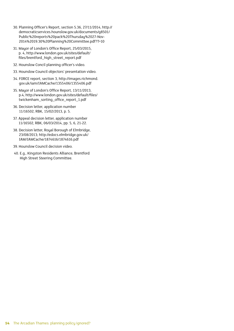- 30. Planning Officer's Report, section 5.36, 27/11/2014, http:// democraticservices.hounslow.gov.uk/documents/g8501/ Public%20reports%20pack%20Thursday%2027-Nov-2014%2019.30%20Planning%20Committee.pdf?T=10
- 31. Mayor of London's Office Report, 25/03/2015, p. 4, http://www.london.gov.uk/sites/default/ files/brentford\_high\_street\_report.pdf
- 32. Hounslow Concil planning officer's video.
- 33. Hounslow Council objectors' presentation video.
- 34. FORCE report, section 3, http://images.richmond. gov.uk/iam/IAMCache/1355406/1355406.pdf
- 35. Mayor of London's Office Report, 13/11/2013, p.4; http://www.london.gov.uk/sites/default/files/ twickenham\_sorting\_office\_report\_1.pdf
- 36. Decision letter, application number 11/16502, RBK, 15/02/2013, p. 5.
- 37. Appeal decision letter, application number 11/16502, RBK, 06/03/2014, pp. 5, 6, 21-22.
- 38. Decision letter, Royal Borough of Elmbridge, 23/08/2013; http://edocs.elmbridge.gov.uk/ IAM/IAMCache/1874616/1874616.pdf
- 39. Hounslow Council decision video.
- 40. E.g., Kingston Residents Alliance, Brentford High Street Steering Committee.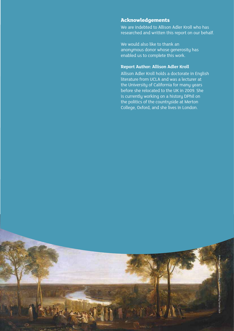#### **Acknowledgements**

The Arcadian Thames: planning policy ignored? The Arcadian Thames: planning policy ignored? **15**

We are indebted to Allison Adler Kroll who has researched and written this report on our behalf.

We would also like to thank an anonymous donor whose generosity has enabled us to complete this work.

#### **Report Author: Allison Adler Kroll**

Allison Adler Kroll holds a doctorate in English literature from UCLA and was a lecturer at the University of California for many years before she relocated to the UK in 2009. She is currently working on a history DPhil on the politics of the countryside at Merton College, Oxford, and she lives in London.